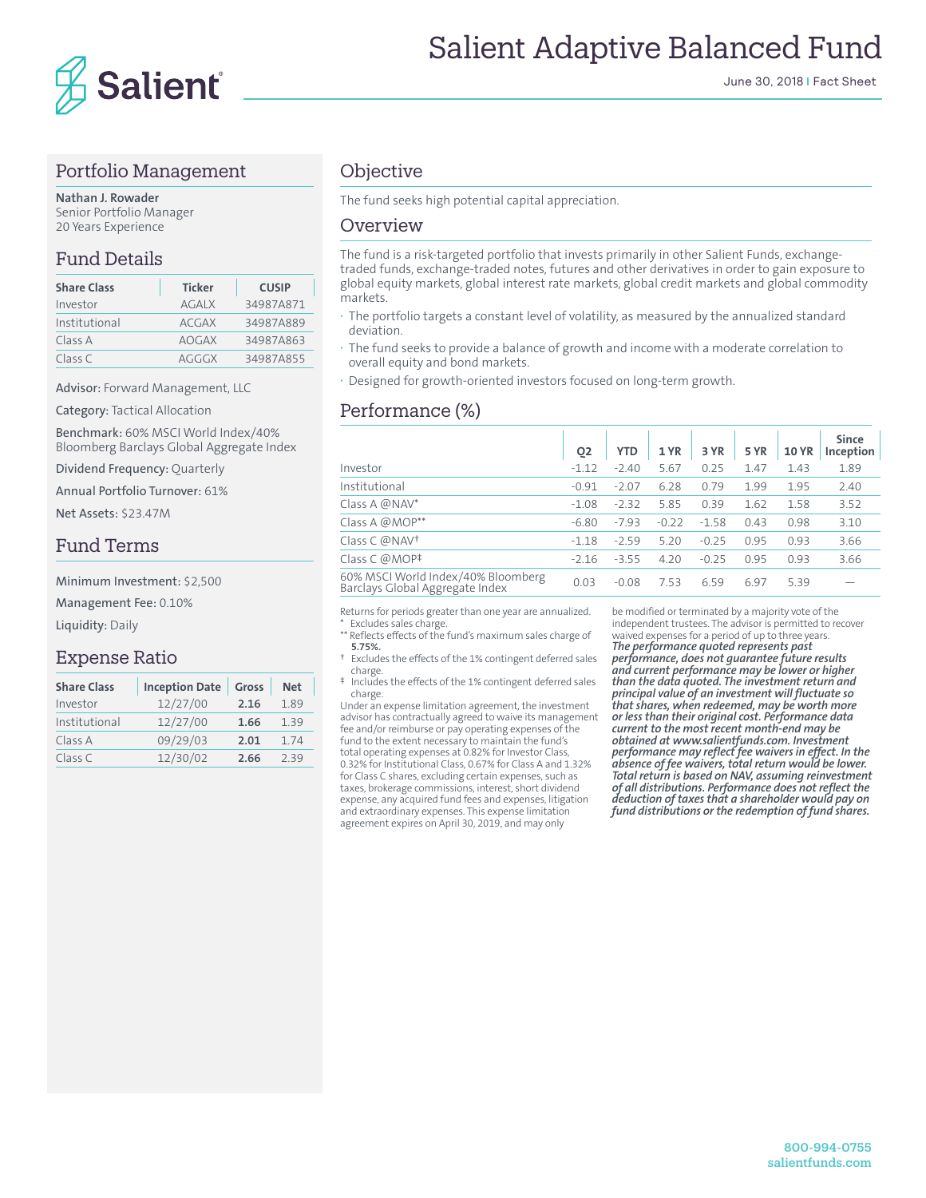

## Portfolio Management

**Nathan J. Rowader** Senior Portfolio Manager 20 Years Experience

## Fund Details

| <b>Share Class</b> | <b>Ticker</b> | <b>CUSIP</b> |
|--------------------|---------------|--------------|
| Investor           | <b>AGALX</b>  | 34987A871    |
| Institutional      | <b>ACGAX</b>  | 34987A889    |
| Class A            | <b>AOGAX</b>  | 34987A863    |
| Class C            | AGGGX         | 34987A855    |

Advisor: Forward Management, LLC

Category: Tactical Allocation

Benchmark: 60% MSCI World Index/40% Bloomberg Barclays Global Aggregate Index

Dividend Frequency: Quarterly

Annual Portfolio Turnover: 61%

Net Assets: \$23.47M

### Fund Terms

Minimum Investment: \$2,500

Management Fee: 0.10%

Liquidity: Daily

### Expense Ratio

| <b>Share Class</b> | <b>Inception Date</b> | Gross | <b>Net</b> |
|--------------------|-----------------------|-------|------------|
| Investor           | 12/27/00              | 2.16  | 1.89       |
| Institutional      | 12/27/00              | 1.66  | 1.39       |
| Class A            | 09/29/03              | 2.01  | 174        |
| Class C            | 12/30/02              | 2.66  | 239        |

## **Objective**

The fund seeks high potential capital appreciation.

#### Overview

The fund is a risk-targeted portfolio that invests primarily in other Salient Funds, exchangetraded funds, exchange-traded notes, futures and other derivatives in order to gain exposure to global equity markets, global interest rate markets, global credit markets and global commodity markets.

- **·** The portfolio targets a constant level of volatility, as measured by the annualized standard deviation.
- **·** The fund seeks to provide a balance of growth and income with a moderate correlation to overall equity and bond markets.
- **·** Designed for growth-oriented investors focused on long-term growth.

# Performance (%)

|                                                                       | Q <sub>2</sub> | <b>YTD</b> | 1 YR    | 3 YR    | <b>5 YR</b> | <b>10 YR</b> | <b>Since</b><br>Inception |
|-----------------------------------------------------------------------|----------------|------------|---------|---------|-------------|--------------|---------------------------|
| Investor                                                              | $-1.12$        | $-2.40$    | 5.67    | 0.25    | 1.47        | 1.43         | 1.89                      |
| Institutional                                                         | $-0.91$        | $-2.07$    | 6.28    | 0.79    | 1.99        | 1.95         | 2.40                      |
| Class A @NAV*                                                         | $-1.08$        | $-2.32$    | 5.85    | 0.39    | 1.62        | 1.58         | 3.52                      |
| Class A @MOP**                                                        | $-6.80$        | $-7.93$    | $-0.22$ | $-1.58$ | 0.43        | 0.98         | 3.10                      |
| Class C @NAV <sup>+</sup>                                             | $-1.18$        | $-2.59$    | 5.20    | $-0.25$ | 0.95        | 0.93         | 3.66                      |
| Class C @MOP <sup>‡</sup>                                             | $-2.16$        | $-3.55$    | 4.20    | $-0.25$ | 0.95        | 0.93         | 3.66                      |
| 60% MSCI World Index/40% Bloomberg<br>Barclays Global Aggregate Index | 0.03           | $-0.08$    | 7.53    | 6.59    | 6.97        | 5.39         |                           |
|                                                                       |                |            |         |         |             |              |                           |

Returns for periods greater than one year are annualized. Excludes sales charge.

\*\* Reflects effects of the fund's maximum sales charge of **5.75%.**<br>Evrlud

Excludes the effects of the 1% contingent deferred sales charge.

‡ Includes the effects of the 1% contingent deferred sales charge.

Under an expense limitation agreement, the investment advisor has contractually agreed to waive its management fee and/or reimburse or pay operating expenses of the fund to the extent necessary to maintain the fund's total operating expenses at 0.82% for Investor Class, 0.32% for Institutional Class, 0.67% for Class A and 1.32% for Class C shares, excluding certain expenses, such as taxes, brokerage commissions, interest, short dividend expense, any acquired fund fees and expenses, litigation and extraordinary expenses. This expense limitation agreement expires on April 30, 2019, and may only

be modified or terminated by a majority vote of the independent trustees. The advisor is permitted to recover waived expenses for a period of up to three years. *The performance quoted represents past performance, does not guarantee future results and current performance may be lower or higher than the data quoted. The investment return and principal value of an investment will fluctuate so that shares, when redeemed, may be worth more or less than their original cost. Performance data current to the most recent month-end may be obtained at www.salientfunds.com. Investment performance may reflect fee waivers in effect. In the absence of fee waivers, total return would be lower. Total return is based on NAV, assuming reinvestment of all distributions. Performance does not reflect the deduction of taxes that a shareholder would pay on fund distributions or the redemption of fund shares.*